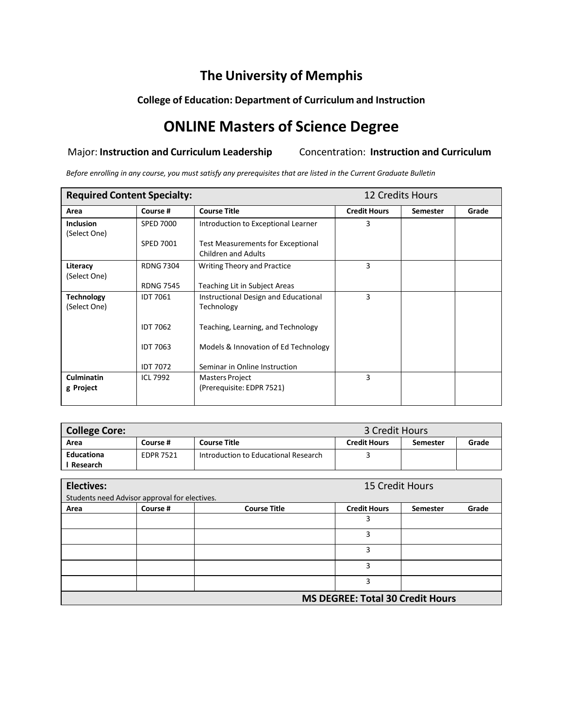## **The University of Memphis**

#### **College of Education: Department of Curriculum and Instruction**

# **ONLINE Masters of Science Degree**

#### Major: **Instruction and Curriculum Leadership** Concentration: **Instruction and Curriculum**

Before enrolling in any course, you must satisfy any prerequisites that are listed in the Current Graduate Bulletin

| <b>Required Content Specialty:</b> |                  |                                                                        | 12 Credits Hours    |                 |       |
|------------------------------------|------------------|------------------------------------------------------------------------|---------------------|-----------------|-------|
| Area                               | Course #         | <b>Course Title</b>                                                    | <b>Credit Hours</b> | <b>Semester</b> | Grade |
| <b>Inclusion</b><br>(Select One)   | <b>SPED 7000</b> | Introduction to Exceptional Learner                                    | 3                   |                 |       |
|                                    | <b>SPED 7001</b> | <b>Test Measurements for Exceptional</b><br><b>Children and Adults</b> |                     |                 |       |
| Literacy<br>(Select One)           | <b>RDNG 7304</b> | Writing Theory and Practice                                            | 3                   |                 |       |
|                                    | <b>RDNG 7545</b> | Teaching Lit in Subject Areas                                          |                     |                 |       |
| <b>Technology</b><br>(Select One)  | <b>IDT 7061</b>  | Instructional Design and Educational<br>Technology                     | 3                   |                 |       |
|                                    | <b>IDT 7062</b>  | Teaching, Learning, and Technology                                     |                     |                 |       |
|                                    | <b>IDT 7063</b>  | Models & Innovation of Ed Technology                                   |                     |                 |       |
|                                    | <b>IDT 7072</b>  | Seminar in Online Instruction                                          |                     |                 |       |
| <b>Culminatin</b><br>g Project     | <b>ICL 7992</b>  | Masters Project<br>(Prerequisite: EDPR 7521)                           | 3                   |                 |       |

| <b>College Core:</b> |                  |                                      | 3 Credit Hours      |          |       |
|----------------------|------------------|--------------------------------------|---------------------|----------|-------|
| Area                 | Course #         | <b>Course Title</b>                  | <b>Credit Hours</b> | Semester | Grade |
| Educationa           | <b>EDPR 7521</b> | Introduction to Educational Research |                     |          |       |
| Research             |                  |                                      |                     |          |       |

| <b>Electives:</b>                       |                                               |                     | 15 Credit Hours     |                 |       |  |
|-----------------------------------------|-----------------------------------------------|---------------------|---------------------|-----------------|-------|--|
|                                         | Students need Advisor approval for electives. |                     |                     |                 |       |  |
| Area                                    | Course #                                      | <b>Course Title</b> | <b>Credit Hours</b> | <b>Semester</b> | Grade |  |
|                                         |                                               |                     |                     |                 |       |  |
|                                         |                                               |                     | 2                   |                 |       |  |
|                                         |                                               |                     | 3                   |                 |       |  |
|                                         |                                               |                     | 3                   |                 |       |  |
|                                         |                                               |                     | 3                   |                 |       |  |
| <b>MS DEGREE: Total 30 Credit Hours</b> |                                               |                     |                     |                 |       |  |